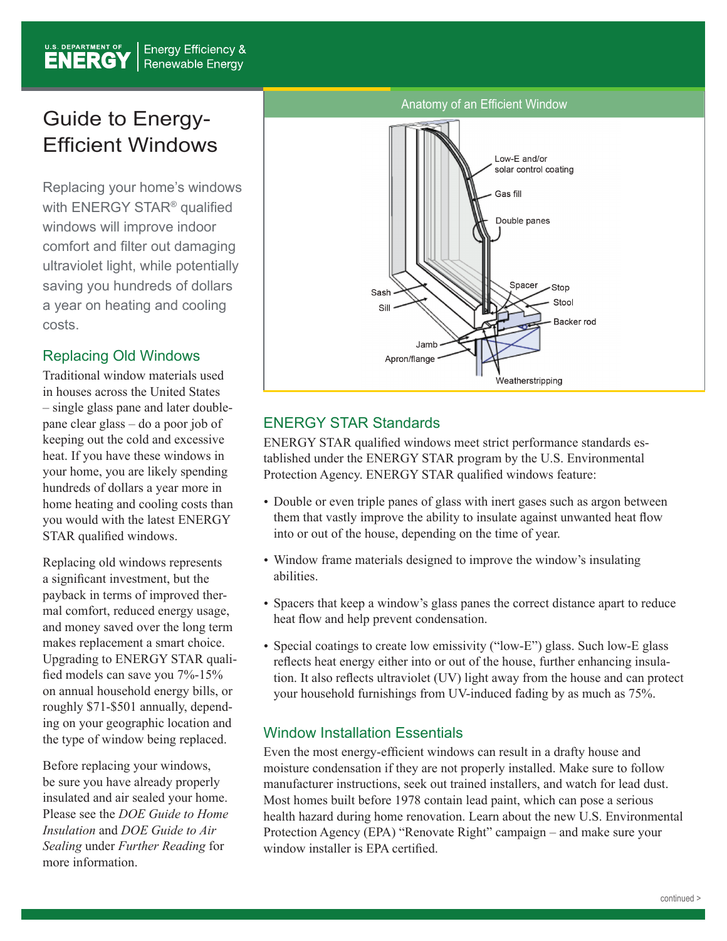## Guide to Energy-Efficient Windows

Replacing your home's windows with ENERGY STAR® qualified windows will improve indoor comfort and filter out damaging ultraviolet light, while potentially saving you hundreds of dollars a year on heating and cooling costs.

#### Replacing Old Windows

Traditional window materials used in houses across the United States – single glass pane and later doublepane clear glass – do a poor job of keeping out the cold and excessive heat. If you have these windows in your home, you are likely spending hundreds of dollars a year more in home heating and cooling costs than you would with the latest ENERGY STAR qualified windows.

Replacing old windows represents a significant investment, but the payback in terms of improved thermal comfort, reduced energy usage, and money saved over the long term makes replacement a smart choice. Upgrading to ENERGY STAR qualified models can save you 7%-15% on annual household energy bills, or roughly \$71-\$501 annually, depending on your geographic location and the type of window being replaced.

Before replacing your windows, be sure you have already properly insulated and air sealed your home. Please see the *DOE Guide to Home Insulation* and *DOE Guide to Air Sealing* under *Further Reading* for more information.



### ENERGY STAR Standards

ENERGY STAR qualified windows meet strict performance standards established under the ENERGY STAR program by the U.S. Environmental Protection Agency. ENERGY STAR qualified windows feature:

- Double or even triple panes of glass with inert gases such as argon between them that vastly improve the ability to insulate against unwanted heat flow into or out of the house, depending on the time of year.
- Window frame materials designed to improve the window's insulating abilities.
- Spacers that keep a window's glass panes the correct distance apart to reduce heat flow and help prevent condensation.
- Special coatings to create low emissivity ("low-E") glass. Such low-E glass reflects heat energy either into or out of the house, further enhancing insulation. It also reflects ultraviolet (UV) light away from the house and can protect your household furnishings from UV-induced fading by as much as 75%.

#### Window Installation Essentials

Even the most energy-efficient windows can result in a drafty house and moisture condensation if they are not properly installed. Make sure to follow manufacturer instructions, seek out trained installers, and watch for lead dust. Most homes built before 1978 contain lead paint, which can pose a serious health hazard during home renovation. Learn about the new U.S. Environmental Protection Agency (EPA) "Renovate Right" campaign – and make sure your window installer is EPA certified.